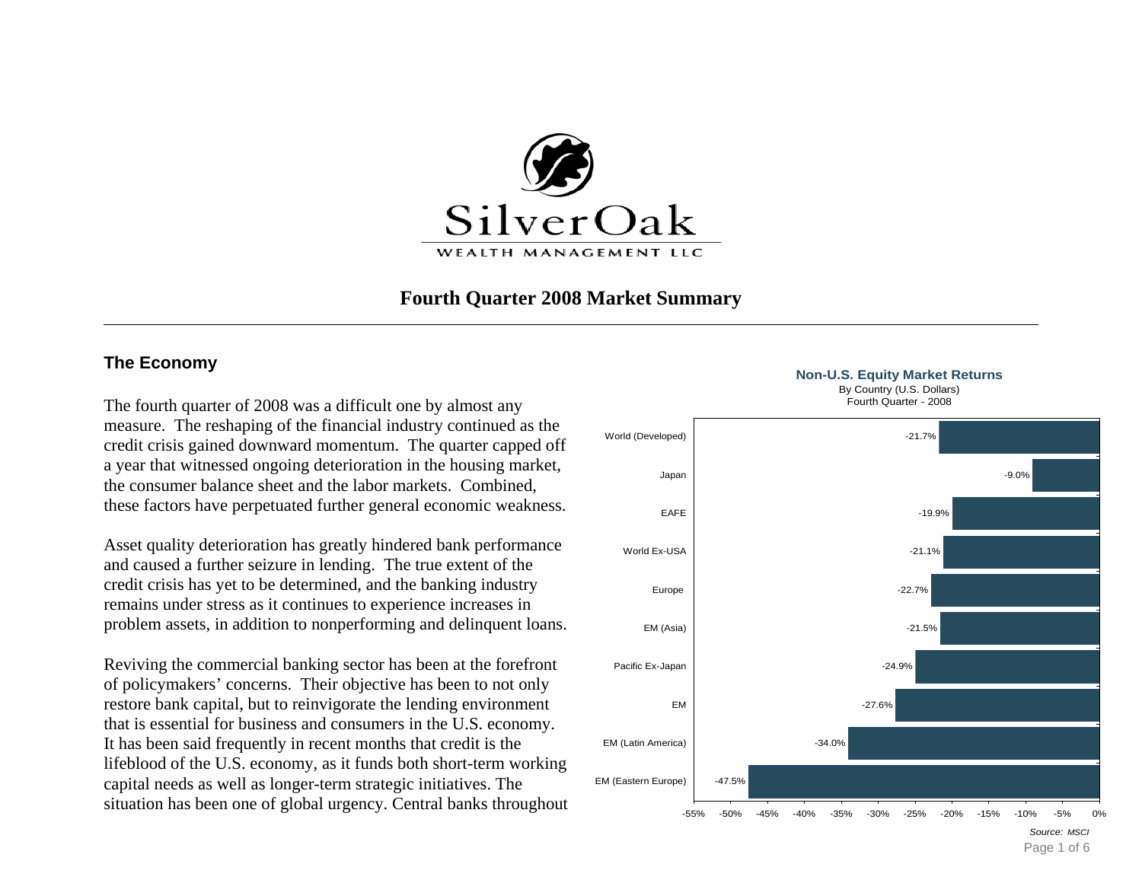

# **Fourth Quarter 2008 Market Summary**

The fourth quarter of 2008 was a difficult one by almost any measure. The reshaping of the financial industry continued as the credit crisis gained downward momentum. The quarter capped off a year that witnessed ongoing deterioration in the housing market, the consumer balance sheet and the labor markets. Combined, these factors have perpetuated further general economic weakness.

Asset quality deterioration has greatly hindered bank performance and caused a further seizure in lending. The true extent of the credit crisis has yet to be determined, and the banking industry remains under stress as it continues to experience increases in problem assets, in addition to nonperforming and delinquent loans.

Reviving the commercial banking sector has been at the forefront of policymakers' concerns. Their objective has been to not only restore bank capital, but to reinvigorate the lending environment that is essential for business and consumers in the U.S. economy. It has been said frequently in recent months that credit is the lifeblood of the U.S. economy, as it funds both short-term working capital needs as well as longer-term strategic initiatives. The situation has been one of global urgency. Central banks throughout



# **The Economy** Non-U.S. Equity Market Returns

By Country (U.S. Dollars) Fourth Quarter - 2008

Page 1 of 6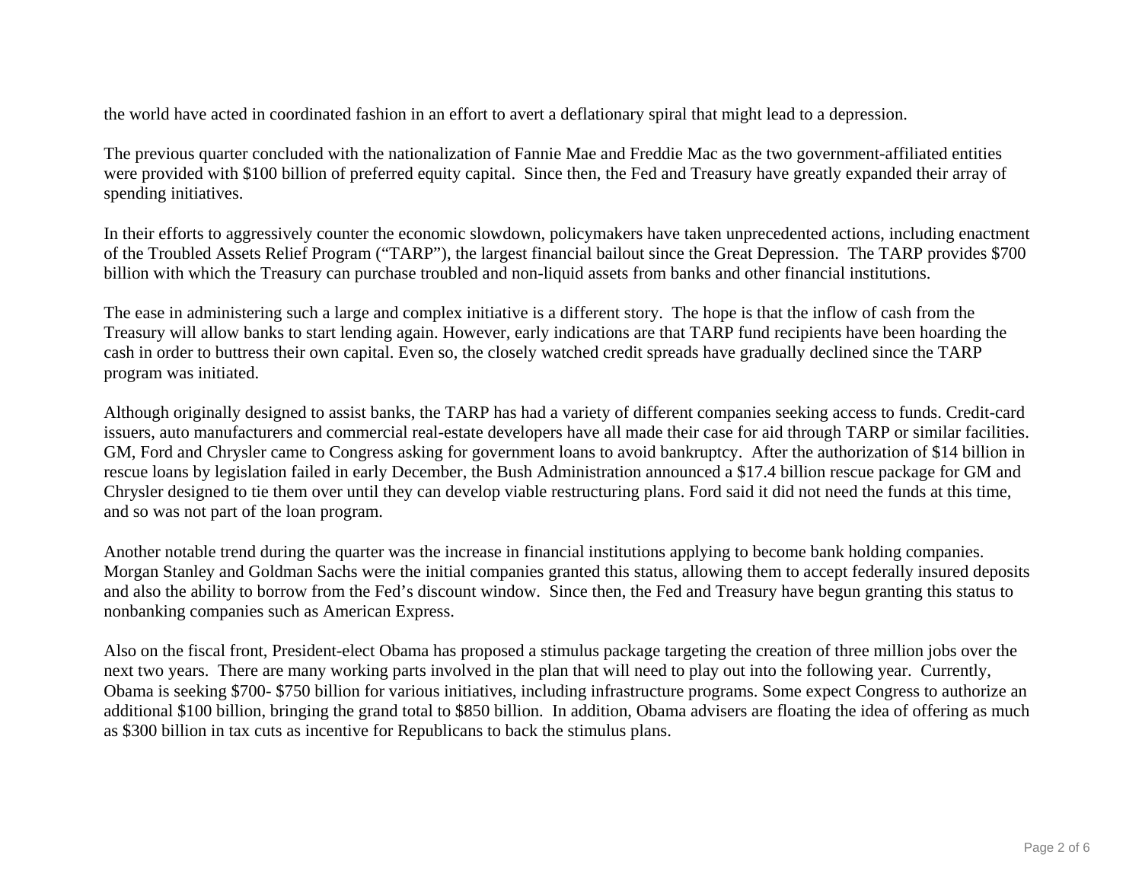the world have acted in coordinated fashion in an effort to avert a deflationary spiral that might lead to a depression.

The previous quarter concluded with the nationalization of Fannie Mae and Freddie Mac as the two government-affiliated entities were provided with \$100 billion of preferred equity capital. Since then, the Fed and Treasury have greatly expanded their array of spending initiatives.

In their efforts to aggressively counter the economic slowdown, policymakers have taken unprecedented actions, including enactment of the Troubled Assets Relief Program ("TARP"), the largest financial bailout since the Great Depression. The TARP provides \$700 billion with which the Treasury can purchase troubled and non-liquid assets from banks and other financial institutions.

The ease in administering such a large and complex initiative is a different story. The hope is that the inflow of cash from the Treasury will allow banks to start lending again. However, early indications are that TARP fund recipients have been hoarding the cash in order to buttress their own capital. Even so, the closely watched credit spreads have gradually declined since the TARP program was initiated.

Although originally designed to assist banks, the TARP has had a variety of different companies seeking access to funds. Credit-card issuers, auto manufacturers and commercial real-estate developers have all made their case for aid through TARP or similar facilities. GM, Ford and Chrysler came to Congress asking for government loans to avoid bankruptcy. After the authorization of \$14 billion in rescue loans by legislation failed in early December, the Bush Administration announced a \$17.4 billion rescue package for GM and Chrysler designed to tie them over until they can develop viable restructuring plans. Ford said it did not need the funds at this time, and so was not part of the loan program.

Another notable trend during the quarter was the increase in financial institutions applying to become bank holding companies. Morgan Stanley and Goldman Sachs were the initial companies granted this status, allowing them to accept federally insured deposits and also the ability to borrow from the Fed's discount window. Since then, the Fed and Treasury have begun granting this status to nonbanking companies such as American Express.

Also on the fiscal front, President-elect Obama has proposed a stimulus package targeting the creation of three million jobs over the next two years. There are many working parts involved in the plan that will need to play out into the following year. Currently, Obama is seeking \$700- \$750 billion for various initiatives, including infrastructure programs. Some expect Congress to authorize an additional \$100 billion, bringing the grand total to \$850 billion. In addition, Obama advisers are floating the idea of offering as much as \$300 billion in tax cuts as incentive for Republicans to back the stimulus plans.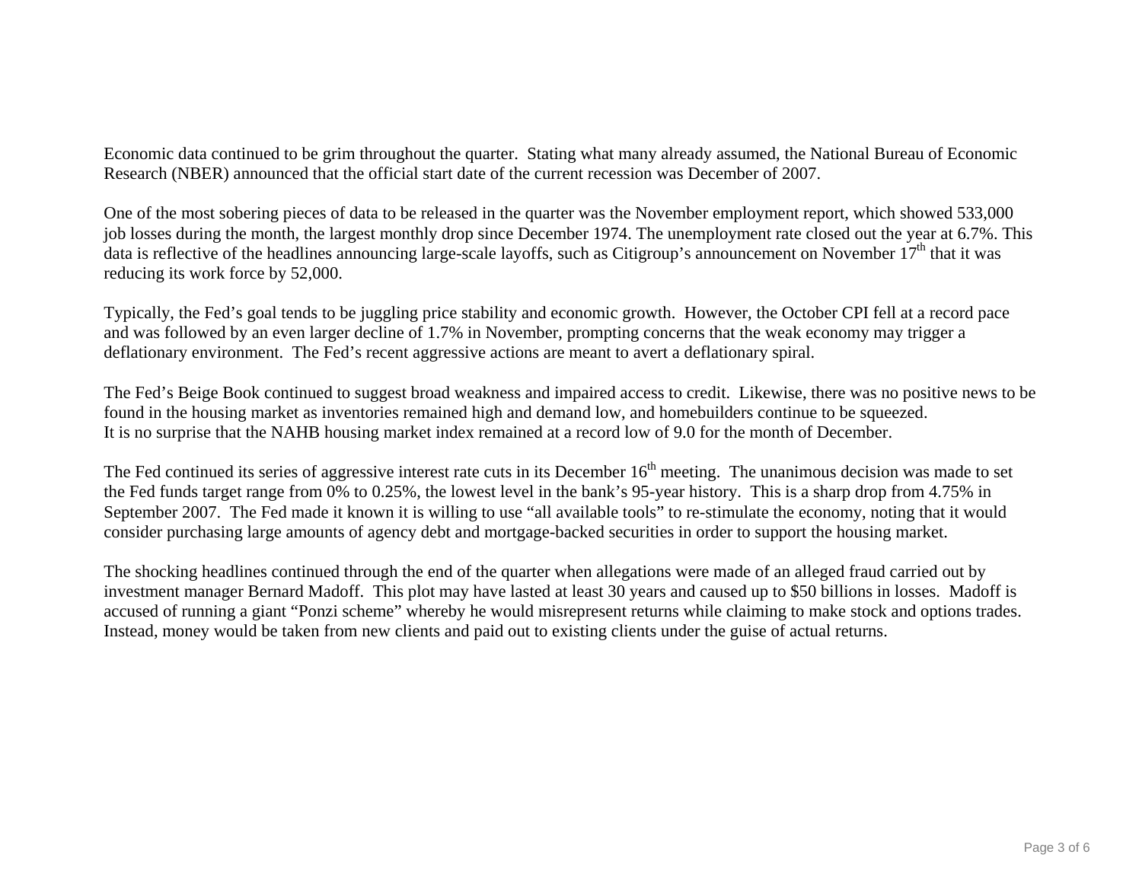Economic data continued to be grim throughout the quarter. Stating what many already assumed, the National Bureau of Economic Research (NBER) announced that the official start date of the current recession was December of 2007.

One of the most sobering pieces of data to be released in the quarter was the November employment report, which showed 533,000 job losses during the month, the largest monthly drop since December 1974. The unemployment rate closed out the year at 6.7%. This data is reflective of the headlines announcing large-scale layoffs, such as Citigroup's announcement on November 17<sup>th</sup> that it was reducing its work force by 52,000.

Typically, the Fed's goal tends to be juggling price stability and economic growth. However, the October CPI fell at a record pace and was followed by an even larger decline of 1.7% in November, prompting concerns that the weak economy may trigger a deflationary environment. The Fed's recent aggressive actions are meant to avert a deflationary spiral.

The Fed's Beige Book continued to suggest broad weakness and impaired access to credit. Likewise, there was no positive news to be found in the housing market as inventories remained high and demand low, and homebuilders continue to be squeezed. It is no surprise that the NAHB housing market index remained at a record low of 9.0 for the month of December.

The Fed continued its series of aggressive interest rate cuts in its December 16<sup>th</sup> meeting. The unanimous decision was made to set the Fed funds target range from 0% to 0.25%, the lowest level in the bank's 95-year history. This is a sharp drop from 4.75% in September 2007. The Fed made it known it is willing to use "all available tools" to re-stimulate the economy, noting that it would consider purchasing large amounts of agency debt and mortgage-backed securities in order to support the housing market.

The shocking headlines continued through the end of the quarter when allegations were made of an alleged fraud carried out by investment manager Bernard Madoff. This plot may have lasted at least 30 years and caused up to \$50 billions in losses. Madoff is accused of running a giant "Ponzi scheme" whereby he would misrepresent returns while claiming to make stock and options trades. Instead, money would be taken from new clients and paid out to existing clients under the guise of actual returns.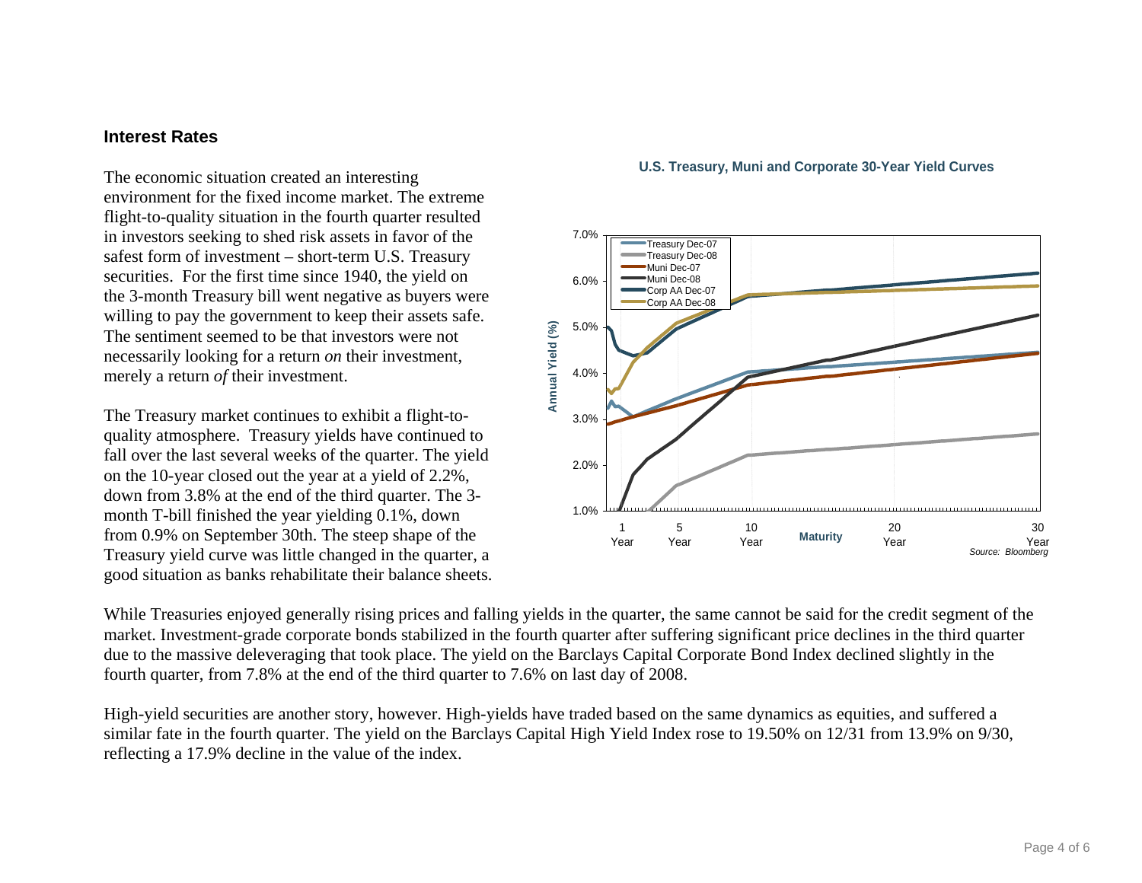# **Interest Rates**

The economic situation created an interesting environment for the fixed income market. The extreme flight-to-quality situation in the fourth quarter resulted in investors seeking to shed risk assets in favor of the safest form of investment – short-term U.S. Treasury securities. For the first time since 1940, the yield on the 3-month Treasury bill went negative as buyers were willing to pay the government to keep their assets safe. The sentiment seemed to be that investors were not necessarily looking for a return *on* their investment, merely a return *of* their investment.

The Treasury market continues to exhibit a flight-toquality atmosphere. Treasury yields have continued to fall over the last several weeks of the quarter. The yield on the 10-year closed out the year at a yield of 2.2%, down from 3.8% at the end of the third quarter. The 3 month T-bill finished the year yielding 0.1%, down from 0.9% on September 30th. The steep shape of the Treasury yield curve was little changed in the quarter, a good situation as banks rehabilitate their balance sheets.

### **U.S. Treasury, Muni and Corporate 30-Year Yield Curves**



While Treasuries enjoyed generally rising prices and falling yields in the quarter, the same cannot be said for the credit segment of the market. Investment-grade corporate bonds stabilized in the fourth quarter after suffering significant price declines in the third quarter due to the massive deleveraging that took place. The yield on the Barclays Capital Corporate Bond Index declined slightly in the fourth quarter, from 7.8% at the end of the third quarter to 7.6% on last day of 2008.

High-yield securities are another story, however. High-yields have traded based on the same dynamics as equities, and suffered a similar fate in the fourth quarter. The yield on the Barclays Capital High Yield Index rose to 19.50% on 12/31 from 13.9% on 9/30, reflecting a 17.9% decline in the value of the index.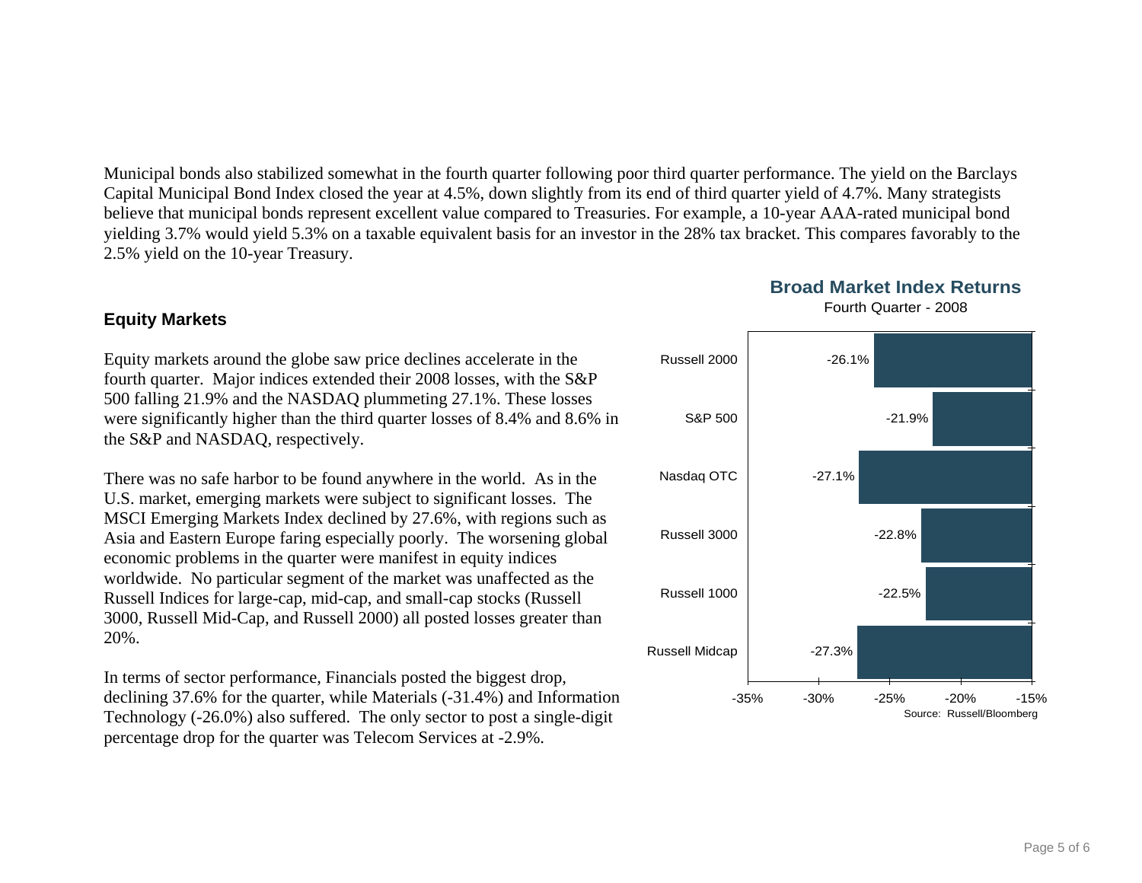Municipal bonds also stabilized somewhat in the fourth quarter following poor third quarter performance. The yield on the Barclays Capital Municipal Bond Index closed the year at 4.5%, down slightly from its end of third quarter yield of 4.7%. Many strategists believe that municipal bonds represent excellent value compared to Treasuries. For example, a 10-year AAA-rated municipal bond yielding 3.7% would yield 5.3% on a taxable equivalent basis for an investor in the 28% tax bracket. This compares favorably to the 2.5% yield on the 10-year Treasury.

# **Equity Markets**

Equity markets around the globe saw price declines accelerate in the fourth quarter. Major indices extended their 2008 losses, with the S&P 500 falling 21.9% and the NASDAQ plummeting 27.1%. These losses were significantly higher than the third quarter losses of 8.4% and 8.6% in the S&P and NASDAQ, respectively.

There was no safe harbor to be found anywhere in the world. As in the U.S. market, emerging markets were subject to significant losses. The MSCI Emerging Markets Index declined by 27.6%, with regions such as Asia and Eastern Europe faring especially poorly. The worsening global economic problems in the quarter were manifest in equity indices worldwide. No particular segment of the market was unaffected as the Russell Indices for large-cap, mid-cap, and small-cap stocks (Russell 3000, Russell Mid-Cap, and Russell 2000) all posted losses greater than 20%.

In terms of sector performance, Financials posted the biggest drop, declining 37.6% for the quarter, while Materials (-31.4%) and Information Technology (-26.0%) also suffered. The only sector to post a single-digit percentage drop for the quarter was Telecom Services at -2.9%.

# **Broad Market Index Returns**

Fourth Quarter - 2008